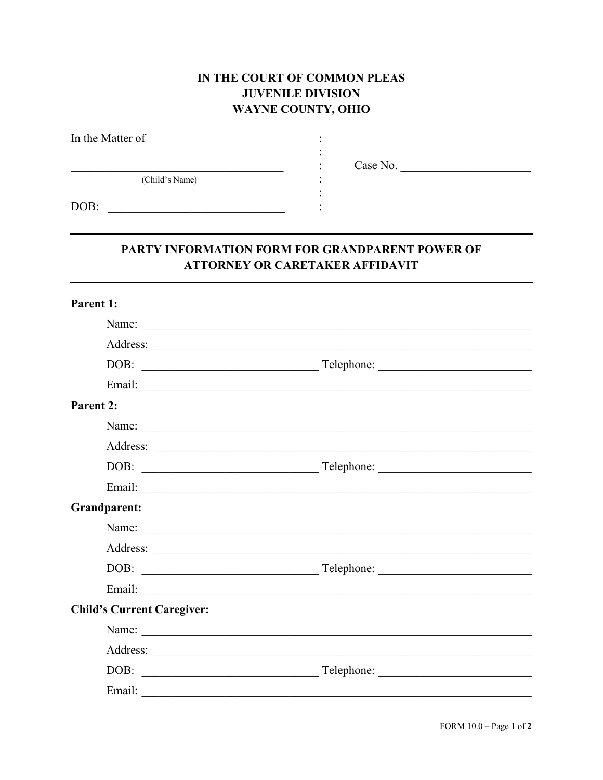## IN THE COURT OF COMMON PLEAS **JUVENILE DIVISION WAYNE COUNTY, OHIO**

| In the Matter of |               |
|------------------|---------------|
|                  | Case No.<br>٠ |
| (Child's Name)   |               |
| DOB:             |               |

## PARTY INFORMATION FORM FOR GRANDPARENT POWER OF **ATTORNEY OR CARETAKER AFFIDAVIT**

| Parent 1:                         |  |
|-----------------------------------|--|
|                                   |  |
|                                   |  |
|                                   |  |
|                                   |  |
| Parent 2:                         |  |
|                                   |  |
|                                   |  |
|                                   |  |
|                                   |  |
| <b>Grandparent:</b>               |  |
|                                   |  |
|                                   |  |
|                                   |  |
|                                   |  |
| <b>Child's Current Caregiver:</b> |  |
|                                   |  |
|                                   |  |
|                                   |  |
|                                   |  |